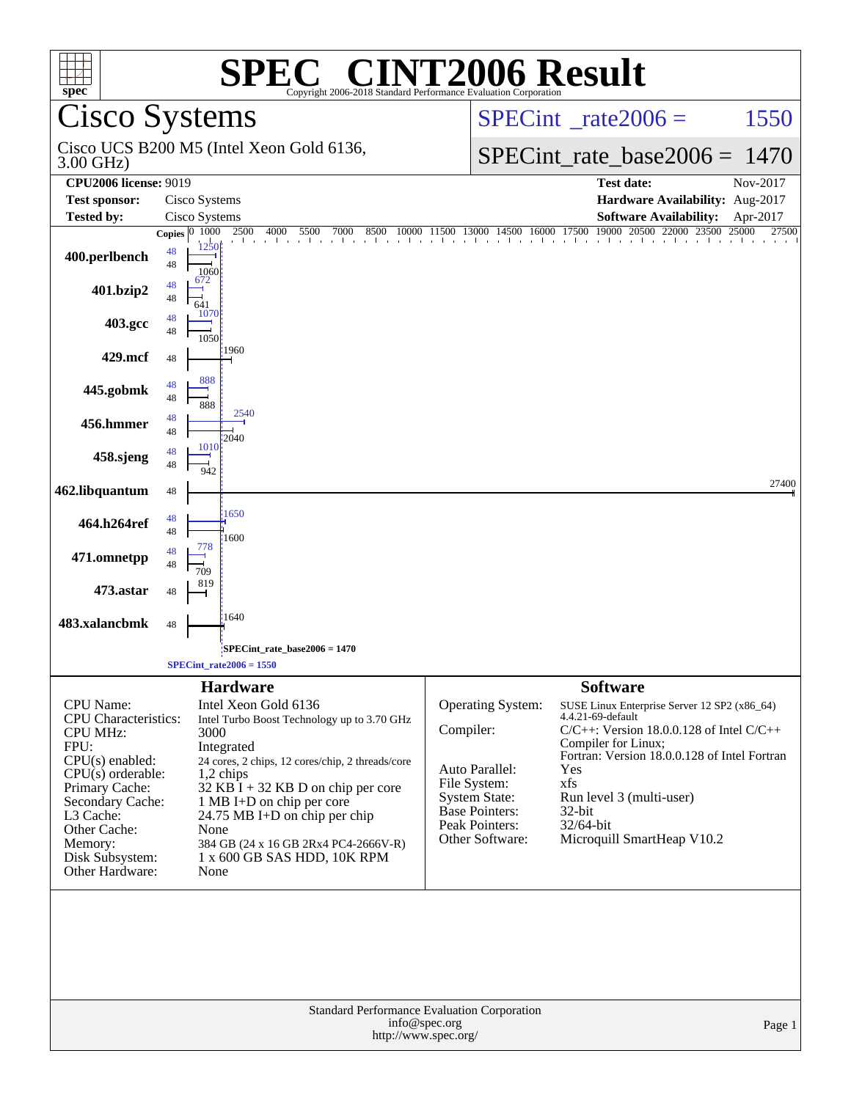| <b>SPEC<sup>®</sup> CINT2006 Result</b><br>$spec^*$<br>Copyright 2006-2018 Standard Performance Evaluation Corporation                                                                                                            |                                                                                                                                                                                                                                                                                                                                                                                |                                                                                                                                                        |                                                                                                                                                                                                                                                                                                             |  |  |
|-----------------------------------------------------------------------------------------------------------------------------------------------------------------------------------------------------------------------------------|--------------------------------------------------------------------------------------------------------------------------------------------------------------------------------------------------------------------------------------------------------------------------------------------------------------------------------------------------------------------------------|--------------------------------------------------------------------------------------------------------------------------------------------------------|-------------------------------------------------------------------------------------------------------------------------------------------------------------------------------------------------------------------------------------------------------------------------------------------------------------|--|--|
|                                                                                                                                                                                                                                   | <b>Cisco Systems</b>                                                                                                                                                                                                                                                                                                                                                           |                                                                                                                                                        | $SPECint^{\circ}$ rate $2006 =$<br>1550                                                                                                                                                                                                                                                                     |  |  |
| 3.00 GHz)                                                                                                                                                                                                                         | Cisco UCS B200 M5 (Intel Xeon Gold 6136,                                                                                                                                                                                                                                                                                                                                       |                                                                                                                                                        | $SPECint_rate\_base2006 =$<br>1470                                                                                                                                                                                                                                                                          |  |  |
| <b>CPU2006 license: 9019</b><br><b>Test sponsor:</b>                                                                                                                                                                              | Cisco Systems                                                                                                                                                                                                                                                                                                                                                                  |                                                                                                                                                        | <b>Test date:</b><br>$Nov-2017$<br>Hardware Availability: Aug-2017                                                                                                                                                                                                                                          |  |  |
| <b>Tested by:</b>                                                                                                                                                                                                                 | Cisco Systems                                                                                                                                                                                                                                                                                                                                                                  |                                                                                                                                                        | <b>Software Availability:</b><br>Apr-2017                                                                                                                                                                                                                                                                   |  |  |
| 400.perlbench                                                                                                                                                                                                                     | Copies $ 0, 1000 $<br>2500<br>1250<br>48<br>48<br>1060<br>672<br>48                                                                                                                                                                                                                                                                                                            |                                                                                                                                                        | 2500 4000 5500 7000 8500 10000 11500 13000 14500 16000 17500 19000 20500 22000 23500 25000 2750<br>27500                                                                                                                                                                                                    |  |  |
| 401.bzip2<br>403.gcc                                                                                                                                                                                                              | 48<br>641<br>1070<br>48                                                                                                                                                                                                                                                                                                                                                        |                                                                                                                                                        |                                                                                                                                                                                                                                                                                                             |  |  |
| 429.mcf                                                                                                                                                                                                                           | 48<br>1050<br>1960                                                                                                                                                                                                                                                                                                                                                             |                                                                                                                                                        |                                                                                                                                                                                                                                                                                                             |  |  |
| 445.gobmk                                                                                                                                                                                                                         | 48<br>888<br>48                                                                                                                                                                                                                                                                                                                                                                |                                                                                                                                                        |                                                                                                                                                                                                                                                                                                             |  |  |
| 456.hmmer                                                                                                                                                                                                                         | 48<br>888<br>2540<br>48                                                                                                                                                                                                                                                                                                                                                        |                                                                                                                                                        |                                                                                                                                                                                                                                                                                                             |  |  |
| 458.sjeng                                                                                                                                                                                                                         | 48<br>2040<br>1010<br>48                                                                                                                                                                                                                                                                                                                                                       |                                                                                                                                                        |                                                                                                                                                                                                                                                                                                             |  |  |
| 462.libquantum                                                                                                                                                                                                                    | 48<br>942<br>48                                                                                                                                                                                                                                                                                                                                                                |                                                                                                                                                        | 27400                                                                                                                                                                                                                                                                                                       |  |  |
| 464.h264ref                                                                                                                                                                                                                       | 1650<br>48<br>48<br>1600                                                                                                                                                                                                                                                                                                                                                       |                                                                                                                                                        |                                                                                                                                                                                                                                                                                                             |  |  |
| 471.omnetpp                                                                                                                                                                                                                       | 778<br>48<br>48<br>709                                                                                                                                                                                                                                                                                                                                                         |                                                                                                                                                        |                                                                                                                                                                                                                                                                                                             |  |  |
| 473.astar                                                                                                                                                                                                                         | 819<br>48                                                                                                                                                                                                                                                                                                                                                                      |                                                                                                                                                        |                                                                                                                                                                                                                                                                                                             |  |  |
| 483.xalancbmk                                                                                                                                                                                                                     | 1640<br>48                                                                                                                                                                                                                                                                                                                                                                     |                                                                                                                                                        |                                                                                                                                                                                                                                                                                                             |  |  |
|                                                                                                                                                                                                                                   | SPECint_rate_base2006 = 1470;<br>$SPECint_rate2006 = 1550$                                                                                                                                                                                                                                                                                                                     |                                                                                                                                                        |                                                                                                                                                                                                                                                                                                             |  |  |
| CPU Name:<br><b>CPU</b> Characteristics:<br><b>CPU MHz:</b><br>FPU:<br>CPU(s) enabled:<br>$CPU(s)$ orderable:<br>Primary Cache:<br>Secondary Cache:<br>L3 Cache:<br>Other Cache:<br>Memory:<br>Disk Subsystem:<br>Other Hardware: | <b>Hardware</b><br>Intel Xeon Gold 6136<br>Intel Turbo Boost Technology up to 3.70 GHz<br>3000<br>Integrated<br>24 cores, 2 chips, 12 cores/chip, 2 threads/core<br>$1,2$ chips<br>$32$ KB I + 32 KB D on chip per core<br>1 MB I+D on chip per core<br>$24.75$ MB I+D on chip per chip<br>None<br>384 GB (24 x 16 GB 2Rx4 PC4-2666V-R)<br>1 x 600 GB SAS HDD, 10K RPM<br>None | <b>Operating System:</b><br>Compiler:<br>Auto Parallel:<br>File System:<br><b>System State:</b><br>Base Pointers:<br>Peak Pointers:<br>Other Software: | <b>Software</b><br>SUSE Linux Enterprise Server 12 SP2 (x86_64)<br>4.4.21-69-default<br>$C/C++$ : Version 18.0.0.128 of Intel $C/C++$<br>Compiler for Linux;<br>Fortran: Version 18.0.0.128 of Intel Fortran<br>Yes<br>xfs<br>Run level 3 (multi-user)<br>32-bit<br>32/64-bit<br>Microquill SmartHeap V10.2 |  |  |
| <b>Standard Performance Evaluation Corporation</b><br>info@spec.org<br>Page 1<br>http://www.spec.org/                                                                                                                             |                                                                                                                                                                                                                                                                                                                                                                                |                                                                                                                                                        |                                                                                                                                                                                                                                                                                                             |  |  |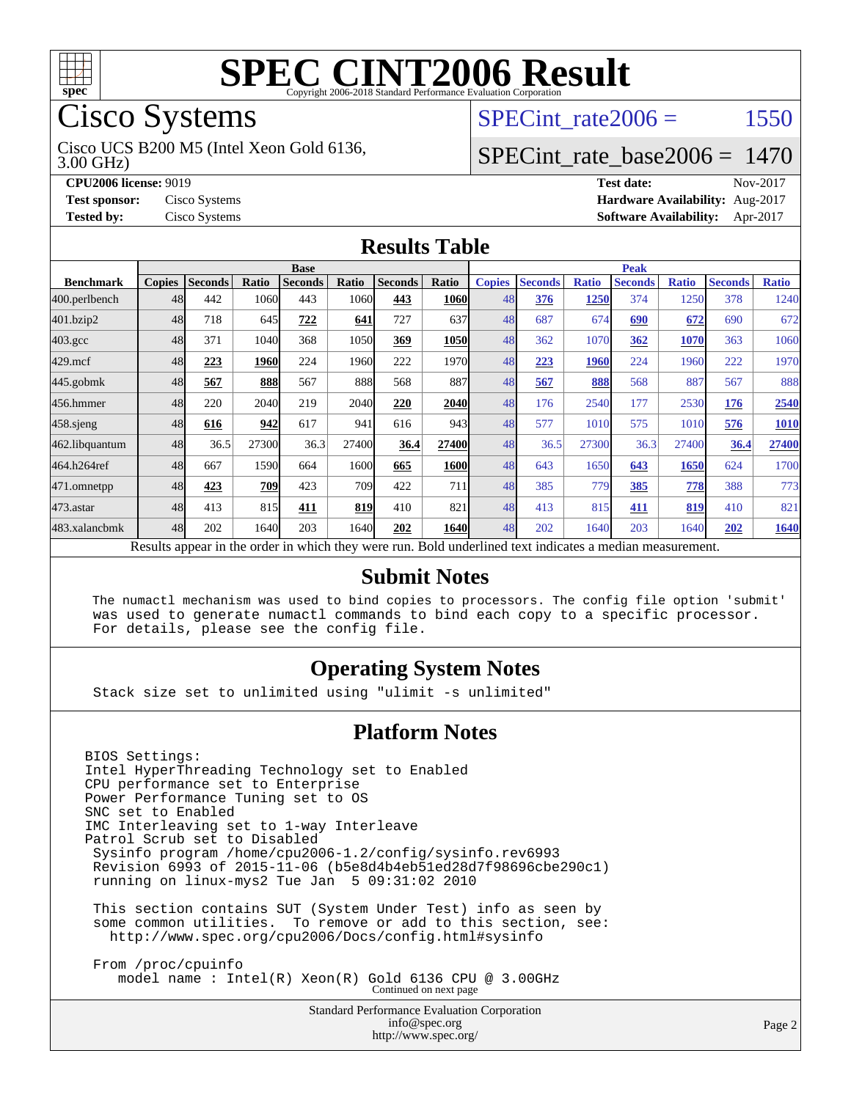

## Cisco Systems

3.00 GHz) Cisco UCS B200 M5 (Intel Xeon Gold 6136, SPECint rate $2006 = 1550$ 

### [SPECint\\_rate\\_base2006 =](http://www.spec.org/auto/cpu2006/Docs/result-fields.html#SPECintratebase2006) 1470

**[CPU2006 license:](http://www.spec.org/auto/cpu2006/Docs/result-fields.html#CPU2006license)** 9019 **[Test date:](http://www.spec.org/auto/cpu2006/Docs/result-fields.html#Testdate)** Nov-2017 **[Test sponsor:](http://www.spec.org/auto/cpu2006/Docs/result-fields.html#Testsponsor)** Cisco Systems **[Hardware Availability:](http://www.spec.org/auto/cpu2006/Docs/result-fields.html#HardwareAvailability)** Aug-2017 **[Tested by:](http://www.spec.org/auto/cpu2006/Docs/result-fields.html#Testedby)** Cisco Systems **[Software Availability:](http://www.spec.org/auto/cpu2006/Docs/result-fields.html#SoftwareAvailability)** Apr-2017

#### **[Results Table](http://www.spec.org/auto/cpu2006/Docs/result-fields.html#ResultsTable)**

| <b>Base</b>                                                                                              |               |                |       |                |       | <b>Peak</b>    |              |               |                |              |                |              |                |              |
|----------------------------------------------------------------------------------------------------------|---------------|----------------|-------|----------------|-------|----------------|--------------|---------------|----------------|--------------|----------------|--------------|----------------|--------------|
| <b>Benchmark</b>                                                                                         | <b>Copies</b> | <b>Seconds</b> | Ratio | <b>Seconds</b> | Ratio | <b>Seconds</b> | <b>Ratio</b> | <b>Copies</b> | <b>Seconds</b> | <b>Ratio</b> | <b>Seconds</b> | <b>Ratio</b> | <b>Seconds</b> | <b>Ratio</b> |
| 400.perlbench                                                                                            | 48            | 442            | 1060  | 443            | 1060  | 443            | 1060         | 48            | 376            | 1250         | 374            | 1250         | 378            | 1240         |
| 401.bzip2                                                                                                | 48            | 718            | 645   | 722            | 641   | 727            | 637          | 48            | 687            | 674          | 690            | 672          | 690            | 672          |
| $403.\mathrm{gcc}$                                                                                       | 48            | 371            | 1040  | 368            | 1050  | 369            | 1050         | 48            | 362            | 1070         | 362            | 1070         | 363            | 1060         |
| $429$ .mcf                                                                                               | 48            | 223            | 1960  | 224            | 1960  | 222            | 1970         | 48            | 223            | 1960         | 224            | 1960         | 222            | 1970         |
| $445$ .gobm $k$                                                                                          | 48            | 567            | 888   | 567            | 888   | 568            | 887          | 48            | 567            | 888          | 568            | 887          | 567            | 888          |
| 456.hmmer                                                                                                | 48            | 220            | 2040  | 219            | 2040  | 220            | 2040         | 48            | 176            | 2540         | 177            | 2530         | 176            | 2540         |
| $458$ .sjeng                                                                                             | 48            | 616            | 942   | 617            | 941   | 616            | 943          | 48            | 577            | 1010         | 575            | 1010         | 576            | 1010         |
| 462.libquantum                                                                                           | 48            | 36.5           | 27300 | 36.3           | 27400 | 36.4           | 27400        | 48            | 36.5           | 27300        | 36.3           | 27400        | 36.4           | 27400        |
| 464.h264ref                                                                                              | 48            | 667            | 1590  | 664            | 1600  | 665            | <b>1600</b>  | 48            | 643            | 1650         | 643            | 1650         | 624            | 1700         |
| 471.omnetpp                                                                                              | 48            | 423            | 709   | 423            | 709I  | 422            | 711          | 48            | 385            | 779          | 385            | 778          | 388            | 773          |
| 473.astar                                                                                                | 48            | 413            | 815   | 411            | 819   | 410            | 821          | 48            | 413            | 815          | 411            | 819          | 410            | 821          |
| 483.xalancbmk                                                                                            | 48            | 202            | 1640  | 203            | 1640  | 202            | 1640         | 48            | 202            | 1640         | 203            | 1640         | 202            | 1640         |
| Results appear in the order in which they were run. Bold underlined text indicates a median measurement. |               |                |       |                |       |                |              |               |                |              |                |              |                |              |

#### **[Submit Notes](http://www.spec.org/auto/cpu2006/Docs/result-fields.html#SubmitNotes)**

 The numactl mechanism was used to bind copies to processors. The config file option 'submit' was used to generate numactl commands to bind each copy to a specific processor. For details, please see the config file.

### **[Operating System Notes](http://www.spec.org/auto/cpu2006/Docs/result-fields.html#OperatingSystemNotes)**

Stack size set to unlimited using "ulimit -s unlimited"

#### **[Platform Notes](http://www.spec.org/auto/cpu2006/Docs/result-fields.html#PlatformNotes)**

BIOS Settings: Intel HyperThreading Technology set to Enabled CPU performance set to Enterprise Power Performance Tuning set to OS SNC set to Enabled IMC Interleaving set to 1-way Interleave Patrol Scrub set to Disabled Sysinfo program /home/cpu2006-1.2/config/sysinfo.rev6993 Revision 6993 of 2015-11-06 (b5e8d4b4eb51ed28d7f98696cbe290c1) running on linux-mys2 Tue Jan 5 09:31:02 2010 This section contains SUT (System Under Test) info as seen by some common utilities. To remove or add to this section, see: <http://www.spec.org/cpu2006/Docs/config.html#sysinfo> From /proc/cpuinfo

model name : Intel(R) Xeon(R) Gold 6136 CPU @ 3.00GHz Continued on next page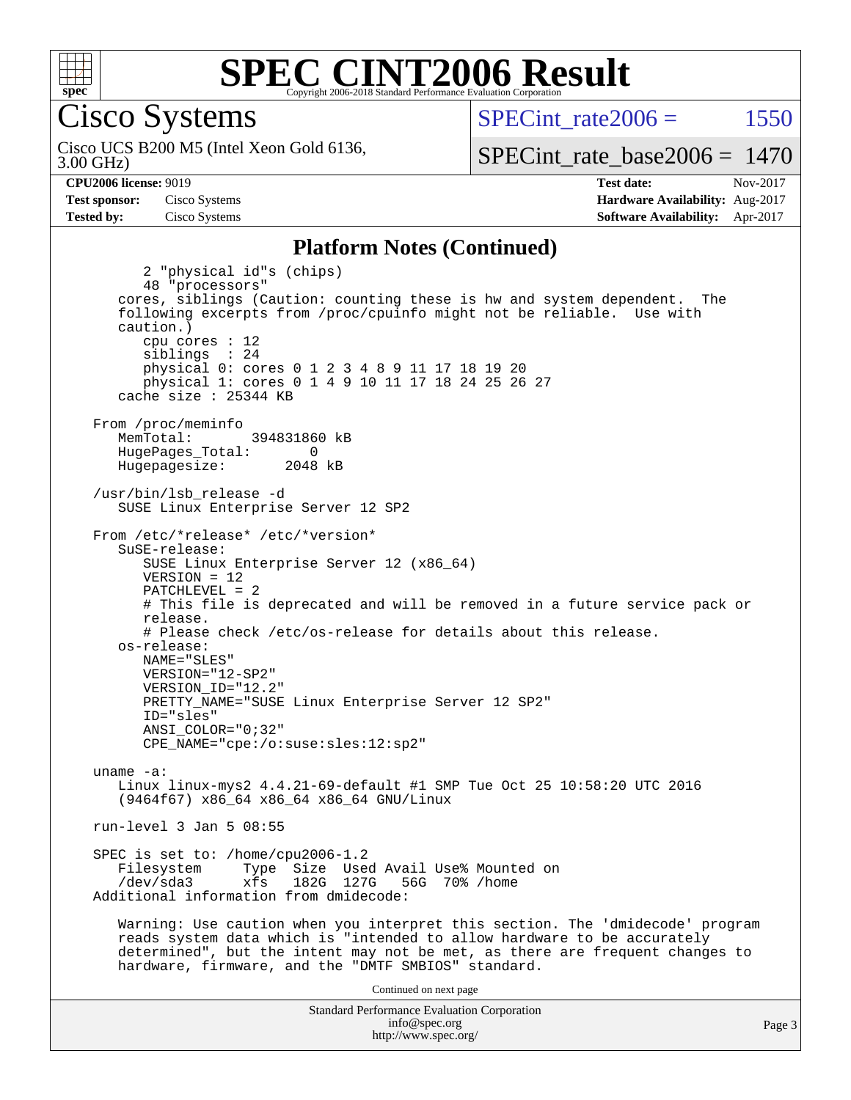

Cisco Systems

3.00 GHz) Cisco UCS B200 M5 (Intel Xeon Gold 6136, SPECint rate $2006 = 1550$ 

[SPECint\\_rate\\_base2006 =](http://www.spec.org/auto/cpu2006/Docs/result-fields.html#SPECintratebase2006) 1470

**[CPU2006 license:](http://www.spec.org/auto/cpu2006/Docs/result-fields.html#CPU2006license)** 9019 **[Test date:](http://www.spec.org/auto/cpu2006/Docs/result-fields.html#Testdate)** Nov-2017 **[Test sponsor:](http://www.spec.org/auto/cpu2006/Docs/result-fields.html#Testsponsor)** Cisco Systems **[Hardware Availability:](http://www.spec.org/auto/cpu2006/Docs/result-fields.html#HardwareAvailability)** Aug-2017 **[Tested by:](http://www.spec.org/auto/cpu2006/Docs/result-fields.html#Testedby)** Cisco Systems **[Software Availability:](http://www.spec.org/auto/cpu2006/Docs/result-fields.html#SoftwareAvailability)** Apr-2017

#### **[Platform Notes \(Continued\)](http://www.spec.org/auto/cpu2006/Docs/result-fields.html#PlatformNotes)**

Standard Performance Evaluation Corporation 2 "physical id"s (chips) 48 "processors" cores, siblings (Caution: counting these is hw and system dependent. The following excerpts from /proc/cpuinfo might not be reliable. Use with caution.) cpu cores : 12 siblings : 24 physical 0: cores 0 1 2 3 4 8 9 11 17 18 19 20 physical 1: cores 0 1 4 9 10 11 17 18 24 25 26 27 cache size : 25344 KB From /proc/meminfo MemTotal: 394831860 kB HugePages\_Total: 0<br>Hugepagesize: 2048 kB Hugepagesize: /usr/bin/lsb\_release -d SUSE Linux Enterprise Server 12 SP2 From /etc/\*release\* /etc/\*version\* SuSE-release: SUSE Linux Enterprise Server 12 (x86\_64)  $VFRSTON = 12$  PATCHLEVEL = 2 # This file is deprecated and will be removed in a future service pack or release. # Please check /etc/os-release for details about this release. os-release: NAME="SLES" VERSION="12-SP2" VERSION\_ID="12.2" PRETTY\_NAME="SUSE Linux Enterprise Server 12 SP2" ID="sles" ANSI\_COLOR="0;32" CPE\_NAME="cpe:/o:suse:sles:12:sp2" uname -a: Linux linux-mys2 4.4.21-69-default #1 SMP Tue Oct 25 10:58:20 UTC 2016 (9464f67) x86\_64 x86\_64 x86\_64 GNU/Linux run-level 3 Jan 5 08:55 SPEC is set to: /home/cpu2006-1.2<br>Filesystem Type Size Use Type Size Used Avail Use% Mounted on /dev/sda3 xfs 182G 127G 56G 70% /home Additional information from dmidecode: Warning: Use caution when you interpret this section. The 'dmidecode' program reads system data which is "intended to allow hardware to be accurately determined", but the intent may not be met, as there are frequent changes to hardware, firmware, and the "DMTF SMBIOS" standard. Continued on next page

[info@spec.org](mailto:info@spec.org) <http://www.spec.org/>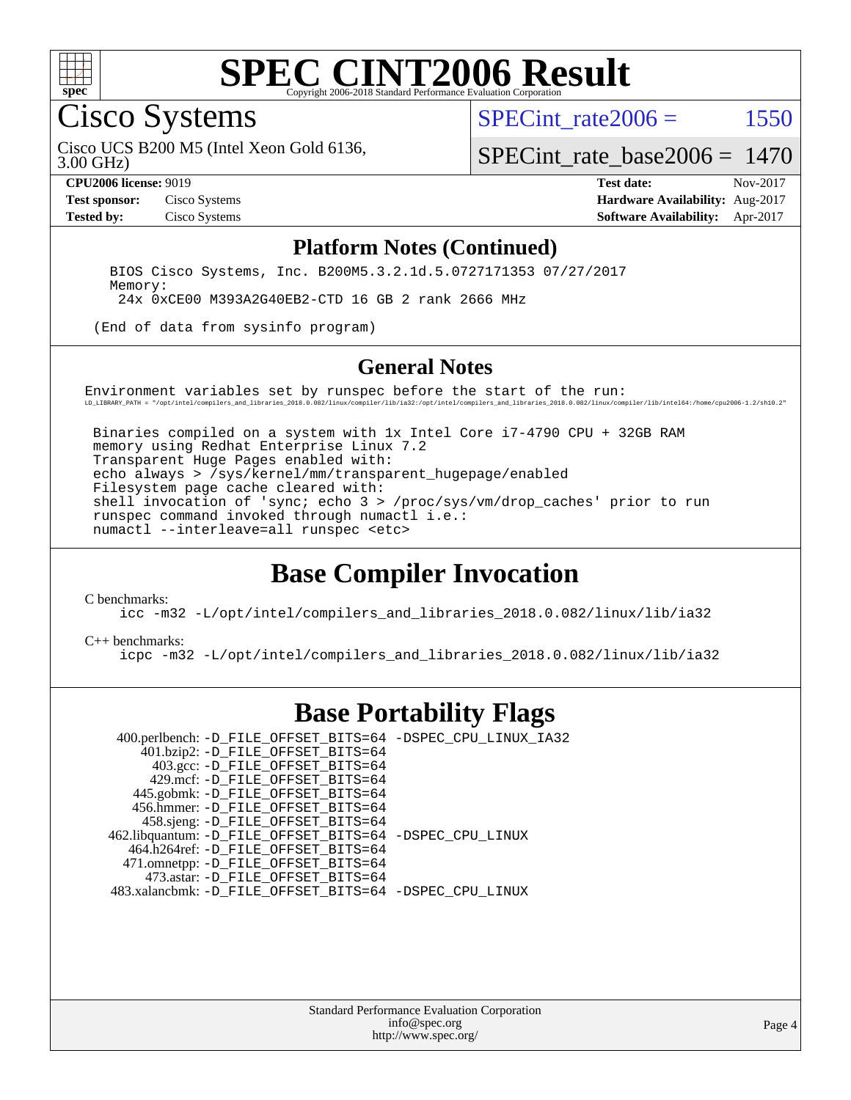

### **[SPEC CINT2006 Result](http://www.spec.org/auto/cpu2006/Docs/result-fields.html#SPECCINT2006Result)** Copyright 2006-2018 Standard Performance Evaluation

Cisco Systems

SPECint rate $2006 = 1550$ 

3.00 GHz) Cisco UCS B200 M5 (Intel Xeon Gold 6136,

[SPECint\\_rate\\_base2006 =](http://www.spec.org/auto/cpu2006/Docs/result-fields.html#SPECintratebase2006) 1470

**[CPU2006 license:](http://www.spec.org/auto/cpu2006/Docs/result-fields.html#CPU2006license)** 9019 **[Test date:](http://www.spec.org/auto/cpu2006/Docs/result-fields.html#Testdate)** Nov-2017 **[Test sponsor:](http://www.spec.org/auto/cpu2006/Docs/result-fields.html#Testsponsor)** Cisco Systems **[Hardware Availability:](http://www.spec.org/auto/cpu2006/Docs/result-fields.html#HardwareAvailability)** Aug-2017 **[Tested by:](http://www.spec.org/auto/cpu2006/Docs/result-fields.html#Testedby)** Cisco Systems **[Software Availability:](http://www.spec.org/auto/cpu2006/Docs/result-fields.html#SoftwareAvailability)** Apr-2017

#### **[Platform Notes \(Continued\)](http://www.spec.org/auto/cpu2006/Docs/result-fields.html#PlatformNotes)**

 BIOS Cisco Systems, Inc. B200M5.3.2.1d.5.0727171353 07/27/2017 Memory: 24x 0xCE00 M393A2G40EB2-CTD 16 GB 2 rank 2666 MHz

(End of data from sysinfo program)

#### **[General Notes](http://www.spec.org/auto/cpu2006/Docs/result-fields.html#GeneralNotes)**

Environment variables set by runspec before the start of the run: LD\_LIBRARY\_PATH = "/opt/intel/compilers\_and\_libraries\_2018.0.082/linux/compiler/lib/ia32:/opt/intel/compilers\_and\_libraries\_2018.0.082/linux/compiler/lib/intel64:/home/cpu2006-1.2/sh10.2"

 Binaries compiled on a system with 1x Intel Core i7-4790 CPU + 32GB RAM memory using Redhat Enterprise Linux 7.2 Transparent Huge Pages enabled with: echo always > /sys/kernel/mm/transparent\_hugepage/enabled Filesystem page cache cleared with: shell invocation of 'sync; echo 3 > /proc/sys/vm/drop\_caches' prior to run runspec command invoked through numactl i.e.: numactl --interleave=all runspec <etc>

## **[Base Compiler Invocation](http://www.spec.org/auto/cpu2006/Docs/result-fields.html#BaseCompilerInvocation)**

[C benchmarks](http://www.spec.org/auto/cpu2006/Docs/result-fields.html#Cbenchmarks):

[icc -m32 -L/opt/intel/compilers\\_and\\_libraries\\_2018.0.082/linux/lib/ia32](http://www.spec.org/cpu2006/results/res2017q4/cpu2006-20171128-50915.flags.html#user_CCbase_intel_icc_355c401af4d5dc87e09103a6bbcae1c6)

#### [C++ benchmarks:](http://www.spec.org/auto/cpu2006/Docs/result-fields.html#CXXbenchmarks)

[icpc -m32 -L/opt/intel/compilers\\_and\\_libraries\\_2018.0.082/linux/lib/ia32](http://www.spec.org/cpu2006/results/res2017q4/cpu2006-20171128-50915.flags.html#user_CXXbase_intel_icpc_b34a6f497613b30bc6bf10051974f22f)

### **[Base Portability Flags](http://www.spec.org/auto/cpu2006/Docs/result-fields.html#BasePortabilityFlags)**

 400.perlbench: [-D\\_FILE\\_OFFSET\\_BITS=64](http://www.spec.org/cpu2006/results/res2017q4/cpu2006-20171128-50915.flags.html#user_basePORTABILITY400_perlbench_file_offset_bits_64_438cf9856305ebd76870a2c6dc2689ab) [-DSPEC\\_CPU\\_LINUX\\_IA32](http://www.spec.org/cpu2006/results/res2017q4/cpu2006-20171128-50915.flags.html#b400.perlbench_baseCPORTABILITY_DSPEC_CPU_LINUX_IA32) 401.bzip2: [-D\\_FILE\\_OFFSET\\_BITS=64](http://www.spec.org/cpu2006/results/res2017q4/cpu2006-20171128-50915.flags.html#user_basePORTABILITY401_bzip2_file_offset_bits_64_438cf9856305ebd76870a2c6dc2689ab) 403.gcc: [-D\\_FILE\\_OFFSET\\_BITS=64](http://www.spec.org/cpu2006/results/res2017q4/cpu2006-20171128-50915.flags.html#user_basePORTABILITY403_gcc_file_offset_bits_64_438cf9856305ebd76870a2c6dc2689ab) 429.mcf: [-D\\_FILE\\_OFFSET\\_BITS=64](http://www.spec.org/cpu2006/results/res2017q4/cpu2006-20171128-50915.flags.html#user_basePORTABILITY429_mcf_file_offset_bits_64_438cf9856305ebd76870a2c6dc2689ab) 445.gobmk: [-D\\_FILE\\_OFFSET\\_BITS=64](http://www.spec.org/cpu2006/results/res2017q4/cpu2006-20171128-50915.flags.html#user_basePORTABILITY445_gobmk_file_offset_bits_64_438cf9856305ebd76870a2c6dc2689ab) 456.hmmer: [-D\\_FILE\\_OFFSET\\_BITS=64](http://www.spec.org/cpu2006/results/res2017q4/cpu2006-20171128-50915.flags.html#user_basePORTABILITY456_hmmer_file_offset_bits_64_438cf9856305ebd76870a2c6dc2689ab) 458.sjeng: [-D\\_FILE\\_OFFSET\\_BITS=64](http://www.spec.org/cpu2006/results/res2017q4/cpu2006-20171128-50915.flags.html#user_basePORTABILITY458_sjeng_file_offset_bits_64_438cf9856305ebd76870a2c6dc2689ab) 462.libquantum: [-D\\_FILE\\_OFFSET\\_BITS=64](http://www.spec.org/cpu2006/results/res2017q4/cpu2006-20171128-50915.flags.html#user_basePORTABILITY462_libquantum_file_offset_bits_64_438cf9856305ebd76870a2c6dc2689ab) [-DSPEC\\_CPU\\_LINUX](http://www.spec.org/cpu2006/results/res2017q4/cpu2006-20171128-50915.flags.html#b462.libquantum_baseCPORTABILITY_DSPEC_CPU_LINUX) 464.h264ref: [-D\\_FILE\\_OFFSET\\_BITS=64](http://www.spec.org/cpu2006/results/res2017q4/cpu2006-20171128-50915.flags.html#user_basePORTABILITY464_h264ref_file_offset_bits_64_438cf9856305ebd76870a2c6dc2689ab) 471.omnetpp: [-D\\_FILE\\_OFFSET\\_BITS=64](http://www.spec.org/cpu2006/results/res2017q4/cpu2006-20171128-50915.flags.html#user_basePORTABILITY471_omnetpp_file_offset_bits_64_438cf9856305ebd76870a2c6dc2689ab) 473.astar: [-D\\_FILE\\_OFFSET\\_BITS=64](http://www.spec.org/cpu2006/results/res2017q4/cpu2006-20171128-50915.flags.html#user_basePORTABILITY473_astar_file_offset_bits_64_438cf9856305ebd76870a2c6dc2689ab) 483.xalancbmk: [-D\\_FILE\\_OFFSET\\_BITS=64](http://www.spec.org/cpu2006/results/res2017q4/cpu2006-20171128-50915.flags.html#user_basePORTABILITY483_xalancbmk_file_offset_bits_64_438cf9856305ebd76870a2c6dc2689ab) [-DSPEC\\_CPU\\_LINUX](http://www.spec.org/cpu2006/results/res2017q4/cpu2006-20171128-50915.flags.html#b483.xalancbmk_baseCXXPORTABILITY_DSPEC_CPU_LINUX)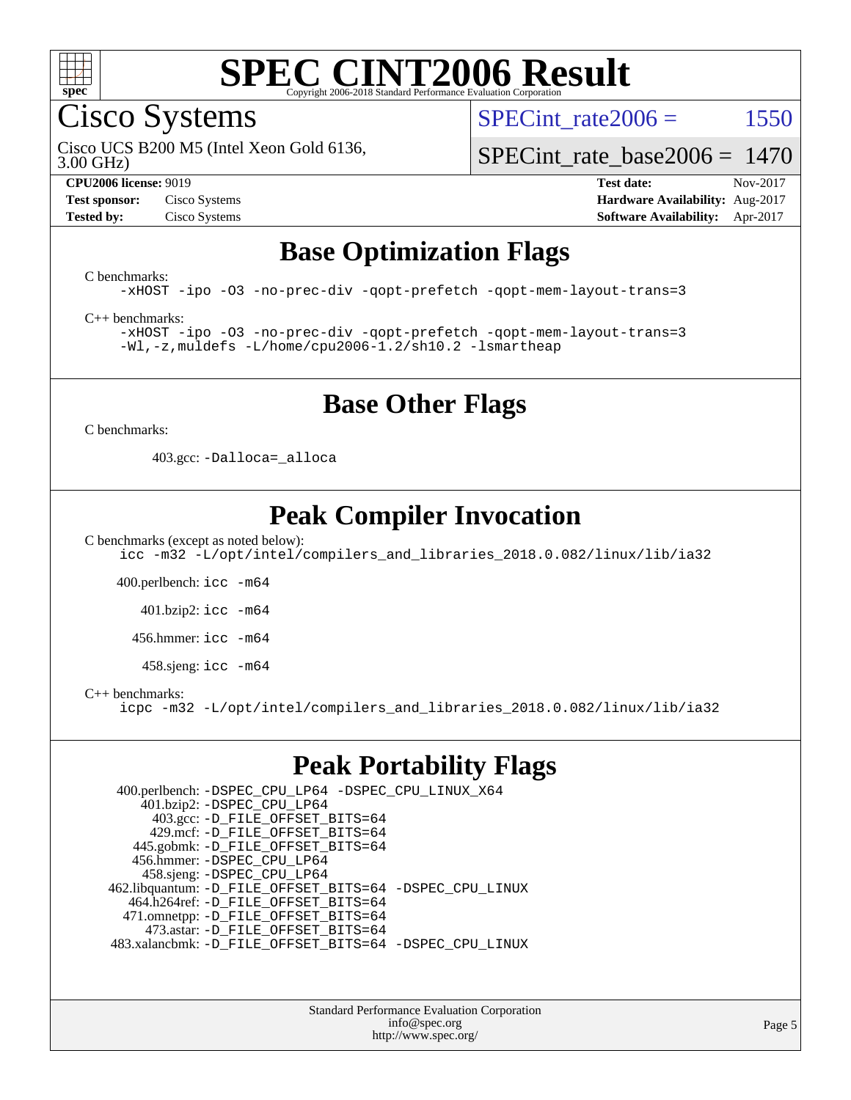

Cisco Systems

SPECint rate $2006 = 1550$ 

3.00 GHz) Cisco UCS B200 M5 (Intel Xeon Gold 6136,

[SPECint\\_rate\\_base2006 =](http://www.spec.org/auto/cpu2006/Docs/result-fields.html#SPECintratebase2006) 1470

**[Test sponsor:](http://www.spec.org/auto/cpu2006/Docs/result-fields.html#Testsponsor)** Cisco Systems **[Hardware Availability:](http://www.spec.org/auto/cpu2006/Docs/result-fields.html#HardwareAvailability)** Aug-2017

**[CPU2006 license:](http://www.spec.org/auto/cpu2006/Docs/result-fields.html#CPU2006license)** 9019 **[Test date:](http://www.spec.org/auto/cpu2006/Docs/result-fields.html#Testdate)** Nov-2017 **[Tested by:](http://www.spec.org/auto/cpu2006/Docs/result-fields.html#Testedby)** Cisco Systems **[Software Availability:](http://www.spec.org/auto/cpu2006/Docs/result-fields.html#SoftwareAvailability)** Apr-2017

## **[Base Optimization Flags](http://www.spec.org/auto/cpu2006/Docs/result-fields.html#BaseOptimizationFlags)**

[C benchmarks](http://www.spec.org/auto/cpu2006/Docs/result-fields.html#Cbenchmarks):

[-xHOST](http://www.spec.org/cpu2006/results/res2017q4/cpu2006-20171128-50915.flags.html#user_CCbase_f-xHost_e62ac3e528d1159ebbc7507f5617393f) [-ipo](http://www.spec.org/cpu2006/results/res2017q4/cpu2006-20171128-50915.flags.html#user_CCbase_f-ipo) [-O3](http://www.spec.org/cpu2006/results/res2017q4/cpu2006-20171128-50915.flags.html#user_CCbase_f-O3) [-no-prec-div](http://www.spec.org/cpu2006/results/res2017q4/cpu2006-20171128-50915.flags.html#user_CCbase_f-no-prec-div) [-qopt-prefetch](http://www.spec.org/cpu2006/results/res2017q4/cpu2006-20171128-50915.flags.html#user_CCbase_f-qopt-prefetch) [-qopt-mem-layout-trans=3](http://www.spec.org/cpu2006/results/res2017q4/cpu2006-20171128-50915.flags.html#user_CCbase_f-qopt-mem-layout-trans_170f5be61cd2cedc9b54468c59262d5d)

[C++ benchmarks:](http://www.spec.org/auto/cpu2006/Docs/result-fields.html#CXXbenchmarks)

[-xHOST](http://www.spec.org/cpu2006/results/res2017q4/cpu2006-20171128-50915.flags.html#user_CXXbase_f-xHost_e62ac3e528d1159ebbc7507f5617393f) [-ipo](http://www.spec.org/cpu2006/results/res2017q4/cpu2006-20171128-50915.flags.html#user_CXXbase_f-ipo) [-O3](http://www.spec.org/cpu2006/results/res2017q4/cpu2006-20171128-50915.flags.html#user_CXXbase_f-O3) [-no-prec-div](http://www.spec.org/cpu2006/results/res2017q4/cpu2006-20171128-50915.flags.html#user_CXXbase_f-no-prec-div) [-qopt-prefetch](http://www.spec.org/cpu2006/results/res2017q4/cpu2006-20171128-50915.flags.html#user_CXXbase_f-qopt-prefetch) [-qopt-mem-layout-trans=3](http://www.spec.org/cpu2006/results/res2017q4/cpu2006-20171128-50915.flags.html#user_CXXbase_f-qopt-mem-layout-trans_170f5be61cd2cedc9b54468c59262d5d) [-Wl,-z,muldefs](http://www.spec.org/cpu2006/results/res2017q4/cpu2006-20171128-50915.flags.html#user_CXXbase_link_force_multiple1_74079c344b956b9658436fd1b6dd3a8a) [-L/home/cpu2006-1.2/sh10.2 -lsmartheap](http://www.spec.org/cpu2006/results/res2017q4/cpu2006-20171128-50915.flags.html#user_CXXbase_SmartHeap_5706a66a2f6a219cbb238ac92a73101d)

## **[Base Other Flags](http://www.spec.org/auto/cpu2006/Docs/result-fields.html#BaseOtherFlags)**

[C benchmarks](http://www.spec.org/auto/cpu2006/Docs/result-fields.html#Cbenchmarks):

403.gcc: [-Dalloca=\\_alloca](http://www.spec.org/cpu2006/results/res2017q4/cpu2006-20171128-50915.flags.html#b403.gcc_baseEXTRA_CFLAGS_Dalloca_be3056838c12de2578596ca5467af7f3)

## **[Peak Compiler Invocation](http://www.spec.org/auto/cpu2006/Docs/result-fields.html#PeakCompilerInvocation)**

[C benchmarks \(except as noted below\)](http://www.spec.org/auto/cpu2006/Docs/result-fields.html#Cbenchmarksexceptasnotedbelow):

[icc -m32 -L/opt/intel/compilers\\_and\\_libraries\\_2018.0.082/linux/lib/ia32](http://www.spec.org/cpu2006/results/res2017q4/cpu2006-20171128-50915.flags.html#user_CCpeak_intel_icc_355c401af4d5dc87e09103a6bbcae1c6)

400.perlbench: [icc -m64](http://www.spec.org/cpu2006/results/res2017q4/cpu2006-20171128-50915.flags.html#user_peakCCLD400_perlbench_intel_icc_64bit_bda6cc9af1fdbb0edc3795bac97ada53)

401.bzip2: [icc -m64](http://www.spec.org/cpu2006/results/res2017q4/cpu2006-20171128-50915.flags.html#user_peakCCLD401_bzip2_intel_icc_64bit_bda6cc9af1fdbb0edc3795bac97ada53)

456.hmmer: [icc -m64](http://www.spec.org/cpu2006/results/res2017q4/cpu2006-20171128-50915.flags.html#user_peakCCLD456_hmmer_intel_icc_64bit_bda6cc9af1fdbb0edc3795bac97ada53)

 $458 \text{.}$ sjeng: icc  $-\text{m64}$ 

[C++ benchmarks:](http://www.spec.org/auto/cpu2006/Docs/result-fields.html#CXXbenchmarks)

[icpc -m32 -L/opt/intel/compilers\\_and\\_libraries\\_2018.0.082/linux/lib/ia32](http://www.spec.org/cpu2006/results/res2017q4/cpu2006-20171128-50915.flags.html#user_CXXpeak_intel_icpc_b34a6f497613b30bc6bf10051974f22f)

### **[Peak Portability Flags](http://www.spec.org/auto/cpu2006/Docs/result-fields.html#PeakPortabilityFlags)**

 400.perlbench: [-DSPEC\\_CPU\\_LP64](http://www.spec.org/cpu2006/results/res2017q4/cpu2006-20171128-50915.flags.html#b400.perlbench_peakCPORTABILITY_DSPEC_CPU_LP64) [-DSPEC\\_CPU\\_LINUX\\_X64](http://www.spec.org/cpu2006/results/res2017q4/cpu2006-20171128-50915.flags.html#b400.perlbench_peakCPORTABILITY_DSPEC_CPU_LINUX_X64) 401.bzip2: [-DSPEC\\_CPU\\_LP64](http://www.spec.org/cpu2006/results/res2017q4/cpu2006-20171128-50915.flags.html#suite_peakCPORTABILITY401_bzip2_DSPEC_CPU_LP64) 403.gcc: [-D\\_FILE\\_OFFSET\\_BITS=64](http://www.spec.org/cpu2006/results/res2017q4/cpu2006-20171128-50915.flags.html#user_peakPORTABILITY403_gcc_file_offset_bits_64_438cf9856305ebd76870a2c6dc2689ab) 429.mcf: [-D\\_FILE\\_OFFSET\\_BITS=64](http://www.spec.org/cpu2006/results/res2017q4/cpu2006-20171128-50915.flags.html#user_peakPORTABILITY429_mcf_file_offset_bits_64_438cf9856305ebd76870a2c6dc2689ab) 445.gobmk: [-D\\_FILE\\_OFFSET\\_BITS=64](http://www.spec.org/cpu2006/results/res2017q4/cpu2006-20171128-50915.flags.html#user_peakPORTABILITY445_gobmk_file_offset_bits_64_438cf9856305ebd76870a2c6dc2689ab) 456.hmmer: [-DSPEC\\_CPU\\_LP64](http://www.spec.org/cpu2006/results/res2017q4/cpu2006-20171128-50915.flags.html#suite_peakCPORTABILITY456_hmmer_DSPEC_CPU_LP64) 458.sjeng: [-DSPEC\\_CPU\\_LP64](http://www.spec.org/cpu2006/results/res2017q4/cpu2006-20171128-50915.flags.html#suite_peakCPORTABILITY458_sjeng_DSPEC_CPU_LP64) 462.libquantum: [-D\\_FILE\\_OFFSET\\_BITS=64](http://www.spec.org/cpu2006/results/res2017q4/cpu2006-20171128-50915.flags.html#user_peakPORTABILITY462_libquantum_file_offset_bits_64_438cf9856305ebd76870a2c6dc2689ab) [-DSPEC\\_CPU\\_LINUX](http://www.spec.org/cpu2006/results/res2017q4/cpu2006-20171128-50915.flags.html#b462.libquantum_peakCPORTABILITY_DSPEC_CPU_LINUX) 464.h264ref: [-D\\_FILE\\_OFFSET\\_BITS=64](http://www.spec.org/cpu2006/results/res2017q4/cpu2006-20171128-50915.flags.html#user_peakPORTABILITY464_h264ref_file_offset_bits_64_438cf9856305ebd76870a2c6dc2689ab) 471.omnetpp: [-D\\_FILE\\_OFFSET\\_BITS=64](http://www.spec.org/cpu2006/results/res2017q4/cpu2006-20171128-50915.flags.html#user_peakPORTABILITY471_omnetpp_file_offset_bits_64_438cf9856305ebd76870a2c6dc2689ab) 473.astar: [-D\\_FILE\\_OFFSET\\_BITS=64](http://www.spec.org/cpu2006/results/res2017q4/cpu2006-20171128-50915.flags.html#user_peakPORTABILITY473_astar_file_offset_bits_64_438cf9856305ebd76870a2c6dc2689ab) 483.xalancbmk: [-D\\_FILE\\_OFFSET\\_BITS=64](http://www.spec.org/cpu2006/results/res2017q4/cpu2006-20171128-50915.flags.html#user_peakPORTABILITY483_xalancbmk_file_offset_bits_64_438cf9856305ebd76870a2c6dc2689ab) [-DSPEC\\_CPU\\_LINUX](http://www.spec.org/cpu2006/results/res2017q4/cpu2006-20171128-50915.flags.html#b483.xalancbmk_peakCXXPORTABILITY_DSPEC_CPU_LINUX)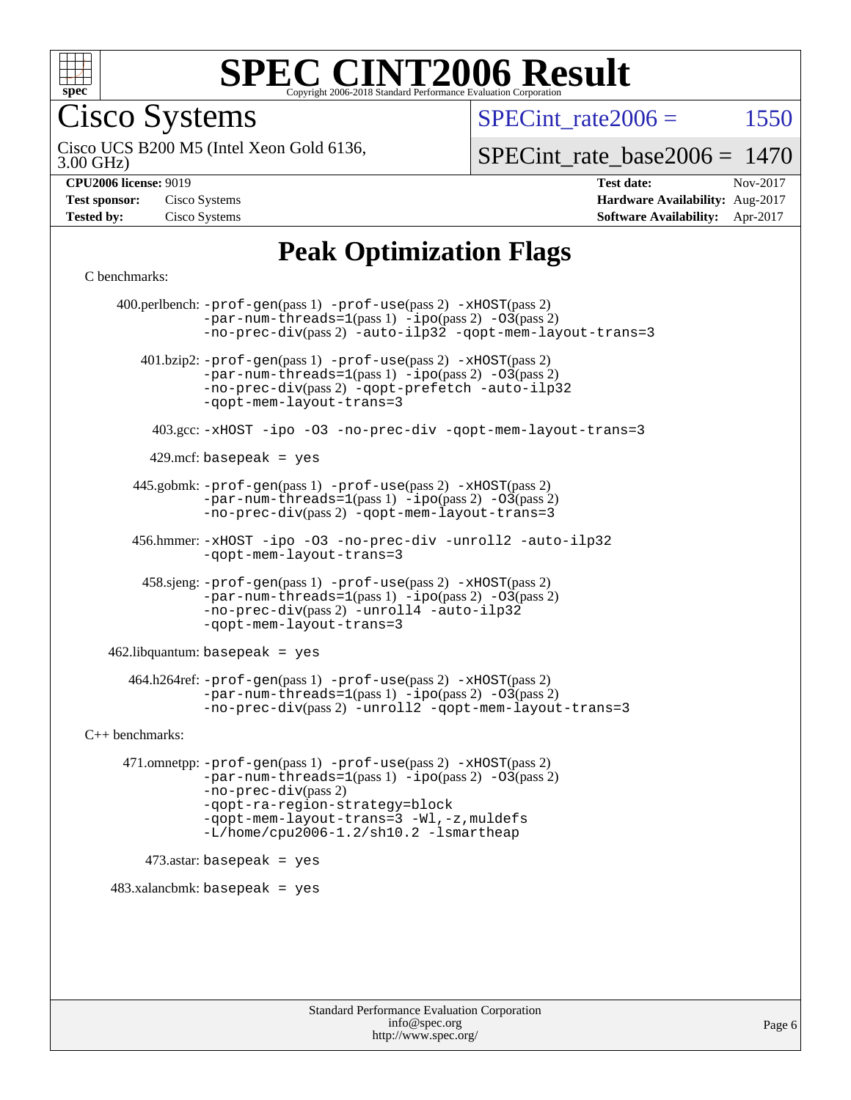

Cisco Systems

SPECint rate $2006 = 1550$ 

3.00 GHz) Cisco UCS B200 M5 (Intel Xeon Gold 6136,

[SPECint\\_rate\\_base2006 =](http://www.spec.org/auto/cpu2006/Docs/result-fields.html#SPECintratebase2006) 1470

| <b>Test sponsor:</b> | Cisco Systems |
|----------------------|---------------|
| <b>Tested by:</b>    | Cisco Systems |

**[CPU2006 license:](http://www.spec.org/auto/cpu2006/Docs/result-fields.html#CPU2006license)** 9019 **[Test date:](http://www.spec.org/auto/cpu2006/Docs/result-fields.html#Testdate)** Nov-2017 **[Hardware Availability:](http://www.spec.org/auto/cpu2006/Docs/result-fields.html#HardwareAvailability)** Aug-2017 **[Software Availability:](http://www.spec.org/auto/cpu2006/Docs/result-fields.html#SoftwareAvailability)** Apr-2017

## **[Peak Optimization Flags](http://www.spec.org/auto/cpu2006/Docs/result-fields.html#PeakOptimizationFlags)**

[C benchmarks](http://www.spec.org/auto/cpu2006/Docs/result-fields.html#Cbenchmarks):

 400.perlbench: [-prof-gen](http://www.spec.org/cpu2006/results/res2017q4/cpu2006-20171128-50915.flags.html#user_peakPASS1_CFLAGSPASS1_LDCFLAGS400_perlbench_prof_gen_e43856698f6ca7b7e442dfd80e94a8fc)(pass 1) [-prof-use](http://www.spec.org/cpu2006/results/res2017q4/cpu2006-20171128-50915.flags.html#user_peakPASS2_CFLAGSPASS2_LDCFLAGS400_perlbench_prof_use_bccf7792157ff70d64e32fe3e1250b55)(pass 2) [-xHOST](http://www.spec.org/cpu2006/results/res2017q4/cpu2006-20171128-50915.flags.html#user_peakPASS2_CFLAGSPASS2_LDCFLAGS400_perlbench_f-xHost_e62ac3e528d1159ebbc7507f5617393f)(pass 2)  $-par-num-threads=1(pass 1) -ipo(pass 2) -O3(pass 2)$  $-par-num-threads=1(pass 1) -ipo(pass 2) -O3(pass 2)$  $-par-num-threads=1(pass 1) -ipo(pass 2) -O3(pass 2)$  $-par-num-threads=1(pass 1) -ipo(pass 2) -O3(pass 2)$  $-par-num-threads=1(pass 1) -ipo(pass 2) -O3(pass 2)$  $-par-num-threads=1(pass 1) -ipo(pass 2) -O3(pass 2)$ [-no-prec-div](http://www.spec.org/cpu2006/results/res2017q4/cpu2006-20171128-50915.flags.html#user_peakPASS2_CFLAGSPASS2_LDCFLAGS400_perlbench_f-no-prec-div)(pass 2) [-auto-ilp32](http://www.spec.org/cpu2006/results/res2017q4/cpu2006-20171128-50915.flags.html#user_peakCOPTIMIZE400_perlbench_f-auto-ilp32) [-qopt-mem-layout-trans=3](http://www.spec.org/cpu2006/results/res2017q4/cpu2006-20171128-50915.flags.html#user_peakCOPTIMIZE400_perlbench_f-qopt-mem-layout-trans_170f5be61cd2cedc9b54468c59262d5d) 401.bzip2: [-prof-gen](http://www.spec.org/cpu2006/results/res2017q4/cpu2006-20171128-50915.flags.html#user_peakPASS1_CFLAGSPASS1_LDCFLAGS401_bzip2_prof_gen_e43856698f6ca7b7e442dfd80e94a8fc)(pass 1) [-prof-use](http://www.spec.org/cpu2006/results/res2017q4/cpu2006-20171128-50915.flags.html#user_peakPASS2_CFLAGSPASS2_LDCFLAGS401_bzip2_prof_use_bccf7792157ff70d64e32fe3e1250b55)(pass 2) [-xHOST](http://www.spec.org/cpu2006/results/res2017q4/cpu2006-20171128-50915.flags.html#user_peakPASS2_CFLAGSPASS2_LDCFLAGS401_bzip2_f-xHost_e62ac3e528d1159ebbc7507f5617393f)(pass 2)  $-par-num-threads=1(pass 1) -ipo(pass 2) -O3(pass 2)$  $-par-num-threads=1(pass 1) -ipo(pass 2) -O3(pass 2)$  $-par-num-threads=1(pass 1) -ipo(pass 2) -O3(pass 2)$  $-par-num-threads=1(pass 1) -ipo(pass 2) -O3(pass 2)$  $-par-num-threads=1(pass 1) -ipo(pass 2) -O3(pass 2)$  $-par-num-threads=1(pass 1) -ipo(pass 2) -O3(pass 2)$ [-no-prec-div](http://www.spec.org/cpu2006/results/res2017q4/cpu2006-20171128-50915.flags.html#user_peakPASS2_CFLAGSPASS2_LDCFLAGS401_bzip2_f-no-prec-div)(pass 2) [-qopt-prefetch](http://www.spec.org/cpu2006/results/res2017q4/cpu2006-20171128-50915.flags.html#user_peakCOPTIMIZE401_bzip2_f-qopt-prefetch) [-auto-ilp32](http://www.spec.org/cpu2006/results/res2017q4/cpu2006-20171128-50915.flags.html#user_peakCOPTIMIZE401_bzip2_f-auto-ilp32) [-qopt-mem-layout-trans=3](http://www.spec.org/cpu2006/results/res2017q4/cpu2006-20171128-50915.flags.html#user_peakCOPTIMIZE401_bzip2_f-qopt-mem-layout-trans_170f5be61cd2cedc9b54468c59262d5d) 403.gcc: [-xHOST](http://www.spec.org/cpu2006/results/res2017q4/cpu2006-20171128-50915.flags.html#user_peakOPTIMIZE403_gcc_f-xHost_e62ac3e528d1159ebbc7507f5617393f) [-ipo](http://www.spec.org/cpu2006/results/res2017q4/cpu2006-20171128-50915.flags.html#user_peakOPTIMIZE403_gcc_f-ipo) [-O3](http://www.spec.org/cpu2006/results/res2017q4/cpu2006-20171128-50915.flags.html#user_peakOPTIMIZE403_gcc_f-O3) [-no-prec-div](http://www.spec.org/cpu2006/results/res2017q4/cpu2006-20171128-50915.flags.html#user_peakOPTIMIZE403_gcc_f-no-prec-div) [-qopt-mem-layout-trans=3](http://www.spec.org/cpu2006/results/res2017q4/cpu2006-20171128-50915.flags.html#user_peakCOPTIMIZE403_gcc_f-qopt-mem-layout-trans_170f5be61cd2cedc9b54468c59262d5d)  $429$ .mcf: basepeak = yes 445.gobmk: [-prof-gen](http://www.spec.org/cpu2006/results/res2017q4/cpu2006-20171128-50915.flags.html#user_peakPASS1_CFLAGSPASS1_LDCFLAGS445_gobmk_prof_gen_e43856698f6ca7b7e442dfd80e94a8fc)(pass 1) [-prof-use](http://www.spec.org/cpu2006/results/res2017q4/cpu2006-20171128-50915.flags.html#user_peakPASS2_CFLAGSPASS2_LDCFLAGSPASS2_LDFLAGS445_gobmk_prof_use_bccf7792157ff70d64e32fe3e1250b55)(pass 2) [-xHOST](http://www.spec.org/cpu2006/results/res2017q4/cpu2006-20171128-50915.flags.html#user_peakPASS2_CFLAGSPASS2_LDCFLAGSPASS2_LDFLAGS445_gobmk_f-xHost_e62ac3e528d1159ebbc7507f5617393f)(pass 2)  $-par-num-threads=1(pass 1) -ipo(pass 2) -O3(pass 2)$  $-par-num-threads=1(pass 1) -ipo(pass 2) -O3(pass 2)$  $-par-num-threads=1(pass 1) -ipo(pass 2) -O3(pass 2)$  $-par-num-threads=1(pass 1) -ipo(pass 2) -O3(pass 2)$  $-par-num-threads=1(pass 1) -ipo(pass 2) -O3(pass 2)$  $-par-num-threads=1(pass 1) -ipo(pass 2) -O3(pass 2)$ [-no-prec-div](http://www.spec.org/cpu2006/results/res2017q4/cpu2006-20171128-50915.flags.html#user_peakPASS2_LDCFLAGS445_gobmk_f-no-prec-div)(pass 2) [-qopt-mem-layout-trans=3](http://www.spec.org/cpu2006/results/res2017q4/cpu2006-20171128-50915.flags.html#user_peakCOPTIMIZE445_gobmk_f-qopt-mem-layout-trans_170f5be61cd2cedc9b54468c59262d5d) 456.hmmer: [-xHOST](http://www.spec.org/cpu2006/results/res2017q4/cpu2006-20171128-50915.flags.html#user_peakOPTIMIZE456_hmmer_f-xHost_e62ac3e528d1159ebbc7507f5617393f) [-ipo](http://www.spec.org/cpu2006/results/res2017q4/cpu2006-20171128-50915.flags.html#user_peakOPTIMIZE456_hmmer_f-ipo) [-O3](http://www.spec.org/cpu2006/results/res2017q4/cpu2006-20171128-50915.flags.html#user_peakOPTIMIZE456_hmmer_f-O3) [-no-prec-div](http://www.spec.org/cpu2006/results/res2017q4/cpu2006-20171128-50915.flags.html#user_peakOPTIMIZE456_hmmer_f-no-prec-div) [-unroll2](http://www.spec.org/cpu2006/results/res2017q4/cpu2006-20171128-50915.flags.html#user_peakCOPTIMIZE456_hmmer_f-unroll_784dae83bebfb236979b41d2422d7ec2) [-auto-ilp32](http://www.spec.org/cpu2006/results/res2017q4/cpu2006-20171128-50915.flags.html#user_peakCOPTIMIZE456_hmmer_f-auto-ilp32) [-qopt-mem-layout-trans=3](http://www.spec.org/cpu2006/results/res2017q4/cpu2006-20171128-50915.flags.html#user_peakCOPTIMIZE456_hmmer_f-qopt-mem-layout-trans_170f5be61cd2cedc9b54468c59262d5d) 458.sjeng: [-prof-gen](http://www.spec.org/cpu2006/results/res2017q4/cpu2006-20171128-50915.flags.html#user_peakPASS1_CFLAGSPASS1_LDCFLAGS458_sjeng_prof_gen_e43856698f6ca7b7e442dfd80e94a8fc)(pass 1) [-prof-use](http://www.spec.org/cpu2006/results/res2017q4/cpu2006-20171128-50915.flags.html#user_peakPASS2_CFLAGSPASS2_LDCFLAGS458_sjeng_prof_use_bccf7792157ff70d64e32fe3e1250b55)(pass 2) [-xHOST](http://www.spec.org/cpu2006/results/res2017q4/cpu2006-20171128-50915.flags.html#user_peakPASS2_CFLAGSPASS2_LDCFLAGS458_sjeng_f-xHost_e62ac3e528d1159ebbc7507f5617393f)(pass 2)  $-par-num-threads=1(pass 1) -ipo(pass 2) -O3(pass 2)$  $-par-num-threads=1(pass 1) -ipo(pass 2) -O3(pass 2)$  $-par-num-threads=1(pass 1) -ipo(pass 2) -O3(pass 2)$  $-par-num-threads=1(pass 1) -ipo(pass 2) -O3(pass 2)$  $-par-num-threads=1(pass 1) -ipo(pass 2) -O3(pass 2)$  $-par-num-threads=1(pass 1) -ipo(pass 2) -O3(pass 2)$ [-no-prec-div](http://www.spec.org/cpu2006/results/res2017q4/cpu2006-20171128-50915.flags.html#user_peakPASS2_CFLAGSPASS2_LDCFLAGS458_sjeng_f-no-prec-div)(pass 2) [-unroll4](http://www.spec.org/cpu2006/results/res2017q4/cpu2006-20171128-50915.flags.html#user_peakCOPTIMIZE458_sjeng_f-unroll_4e5e4ed65b7fd20bdcd365bec371b81f) [-auto-ilp32](http://www.spec.org/cpu2006/results/res2017q4/cpu2006-20171128-50915.flags.html#user_peakCOPTIMIZE458_sjeng_f-auto-ilp32) [-qopt-mem-layout-trans=3](http://www.spec.org/cpu2006/results/res2017q4/cpu2006-20171128-50915.flags.html#user_peakCOPTIMIZE458_sjeng_f-qopt-mem-layout-trans_170f5be61cd2cedc9b54468c59262d5d)  $462$ .libquantum: basepeak = yes 464.h264ref: [-prof-gen](http://www.spec.org/cpu2006/results/res2017q4/cpu2006-20171128-50915.flags.html#user_peakPASS1_CFLAGSPASS1_LDCFLAGS464_h264ref_prof_gen_e43856698f6ca7b7e442dfd80e94a8fc)(pass 1) [-prof-use](http://www.spec.org/cpu2006/results/res2017q4/cpu2006-20171128-50915.flags.html#user_peakPASS2_CFLAGSPASS2_LDCFLAGS464_h264ref_prof_use_bccf7792157ff70d64e32fe3e1250b55)(pass 2) [-xHOST](http://www.spec.org/cpu2006/results/res2017q4/cpu2006-20171128-50915.flags.html#user_peakPASS2_CFLAGSPASS2_LDCFLAGS464_h264ref_f-xHost_e62ac3e528d1159ebbc7507f5617393f)(pass 2)  $-par-num-threads=1(pass 1) -ipo(pass 2) -O3(pass 2)$  $-par-num-threads=1(pass 1) -ipo(pass 2) -O3(pass 2)$  $-par-num-threads=1(pass 1) -ipo(pass 2) -O3(pass 2)$  $-par-num-threads=1(pass 1) -ipo(pass 2) -O3(pass 2)$  $-par-num-threads=1(pass 1) -ipo(pass 2) -O3(pass 2)$  $-par-num-threads=1(pass 1) -ipo(pass 2) -O3(pass 2)$ [-no-prec-div](http://www.spec.org/cpu2006/results/res2017q4/cpu2006-20171128-50915.flags.html#user_peakPASS2_CFLAGSPASS2_LDCFLAGS464_h264ref_f-no-prec-div)(pass 2) [-unroll2](http://www.spec.org/cpu2006/results/res2017q4/cpu2006-20171128-50915.flags.html#user_peakCOPTIMIZE464_h264ref_f-unroll_784dae83bebfb236979b41d2422d7ec2) [-qopt-mem-layout-trans=3](http://www.spec.org/cpu2006/results/res2017q4/cpu2006-20171128-50915.flags.html#user_peakCOPTIMIZE464_h264ref_f-qopt-mem-layout-trans_170f5be61cd2cedc9b54468c59262d5d) [C++ benchmarks:](http://www.spec.org/auto/cpu2006/Docs/result-fields.html#CXXbenchmarks) 471.omnetpp: [-prof-gen](http://www.spec.org/cpu2006/results/res2017q4/cpu2006-20171128-50915.flags.html#user_peakPASS1_CXXFLAGSPASS1_LDCXXFLAGS471_omnetpp_prof_gen_e43856698f6ca7b7e442dfd80e94a8fc)(pass 1) [-prof-use](http://www.spec.org/cpu2006/results/res2017q4/cpu2006-20171128-50915.flags.html#user_peakPASS2_CXXFLAGSPASS2_LDCXXFLAGS471_omnetpp_prof_use_bccf7792157ff70d64e32fe3e1250b55)(pass 2) [-xHOST](http://www.spec.org/cpu2006/results/res2017q4/cpu2006-20171128-50915.flags.html#user_peakPASS2_CXXFLAGSPASS2_LDCXXFLAGS471_omnetpp_f-xHost_e62ac3e528d1159ebbc7507f5617393f)(pass 2)  $-par-num-threads=1(pass 1) -ipo(pass 2) -O3(pass 2)$  $-par-num-threads=1(pass 1) -ipo(pass 2) -O3(pass 2)$  $-par-num-threads=1(pass 1) -ipo(pass 2) -O3(pass 2)$  $-par-num-threads=1(pass 1) -ipo(pass 2) -O3(pass 2)$  $-par-num-threads=1(pass 1) -ipo(pass 2) -O3(pass 2)$  $-par-num-threads=1(pass 1) -ipo(pass 2) -O3(pass 2)$ [-no-prec-div](http://www.spec.org/cpu2006/results/res2017q4/cpu2006-20171128-50915.flags.html#user_peakPASS2_CXXFLAGSPASS2_LDCXXFLAGS471_omnetpp_f-no-prec-div)(pass 2) [-qopt-ra-region-strategy=block](http://www.spec.org/cpu2006/results/res2017q4/cpu2006-20171128-50915.flags.html#user_peakCXXOPTIMIZE471_omnetpp_f-qopt-ra-region-strategy_430aa8f7c220cbde92ae827fa8d9be32)  [-qopt-mem-layout-trans=3](http://www.spec.org/cpu2006/results/res2017q4/cpu2006-20171128-50915.flags.html#user_peakCXXOPTIMIZE471_omnetpp_f-qopt-mem-layout-trans_170f5be61cd2cedc9b54468c59262d5d) [-Wl,-z,muldefs](http://www.spec.org/cpu2006/results/res2017q4/cpu2006-20171128-50915.flags.html#user_peakEXTRA_LDFLAGS471_omnetpp_link_force_multiple1_74079c344b956b9658436fd1b6dd3a8a) [-L/home/cpu2006-1.2/sh10.2 -lsmartheap](http://www.spec.org/cpu2006/results/res2017q4/cpu2006-20171128-50915.flags.html#user_peakEXTRA_LIBS471_omnetpp_SmartHeap_5706a66a2f6a219cbb238ac92a73101d)  $473$ .astar: basepeak = yes  $483.xalanchmk: basepeak = yes$